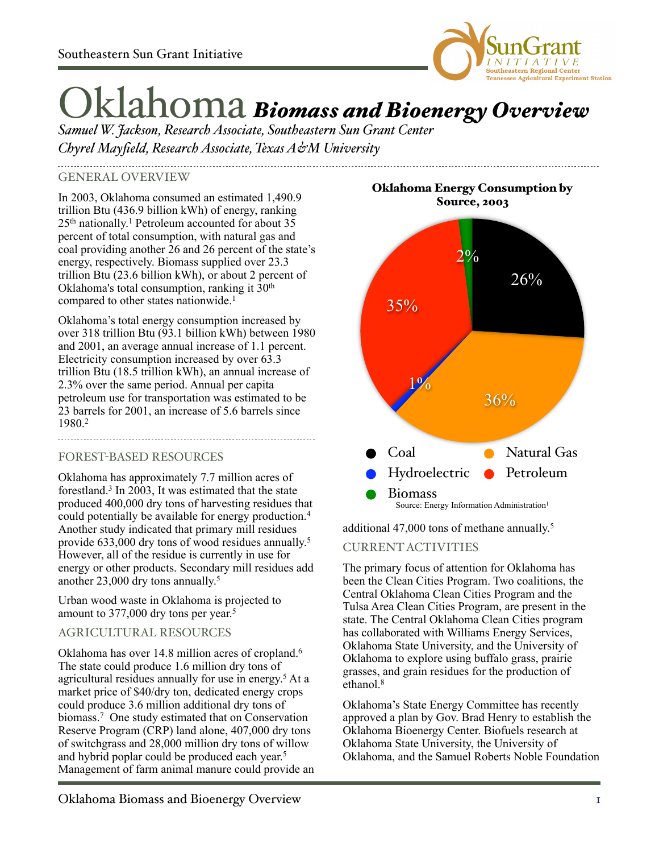

# Oklahoma *Biomass and Bioenergy Overview*

*Samuel W. Jackson, Research Associate, Southeastern Sun Grant Center Chyrel Mayfield, Research Associate, Texas A&M University*

#### GENERAL OVERVIEW

In 2003, Oklahoma consumed an estimated 1,490.9 trillion Btu (436.9 billion kWh) of energy, ranking 25<sup>th</sup> nationally.<sup>1</sup> Petroleum accounted for about 35 percent of total consumption, with natural gas and coal providing another 26 and 26 percent of the state's energy, respectively. Biomass supplied over 23.3 trillion Btu (23.6 billion kWh), or about 2 percent of Oklahoma's total consumption, ranking it 30<sup>th</sup> compared to other states nationwide.<sup>1</sup>

Oklahoma's total energy consumption increased by over 318 trillion Btu (93.1 billion kWh) between 1980 and 2001, an average annual increase of 1.1 percent. Electricity consumption increased by over 63.3 trillion Btu (18.5 trillion kWh), an annual increase of 2.3% over the same period. Annual per capita petroleum use for transportation was estimated to be 23 barrels for 2001, an increase of 5.6 barrels since 1980.2

# FOREST-BASED RESOURCES

Oklahoma has approximately 7.7 million acres of forestland.3 In 2003, It was estimated that the state produced 400,000 dry tons of harvesting residues that could potentially be available for energy production.4 Another study indicated that primary mill residues provide 633,000 dry tons of wood residues annually. 5 However, all of the residue is currently in use for energy or other products. Secondary mill residues add another 23,000 dry tons annually. 5

Urban wood waste in Oklahoma is projected to amount to 377,000 dry tons per year. 5

# AGRICULTURAL RESOURCES

Oklahoma has over 14.8 million acres of cropland.6 The state could produce 1.6 million dry tons of agricultural residues annually for use in energy. <sup>5</sup> At a market price of \$40/dry ton, dedicated energy crops could produce 3.6 million additional dry tons of biomass.7 One study estimated that on Conservation Reserve Program (CRP) land alone, 407,000 dry tons of switchgrass and 28,000 million dry tons of willow and hybrid poplar could be produced each year. 5 Management of farm animal manure could provide an

Oklahoma Energy Consumption by Source, 2003



additional 47,000 tons of methane annually. 5

# CURRENT ACTIVITIES

The primary focus of attention for Oklahoma has been the Clean Cities Program. Two coalitions, the Central Oklahoma Clean Cities Program and the Tulsa Area Clean Cities Program, are present in the state. The Central Oklahoma Clean Cities program has collaborated with Williams Energy Services, Oklahoma State University, and the University of Oklahoma to explore using buffalo grass, prairie grasses, and grain residues for the production of ethanol.<sup>8</sup>

Oklahoma's State Energy Committee has recently approved a plan by Gov. Brad Henry to establish the Oklahoma Bioenergy Center. Biofuels research at Oklahoma State University, the University of Oklahoma, and the Samuel Roberts Noble Foundation